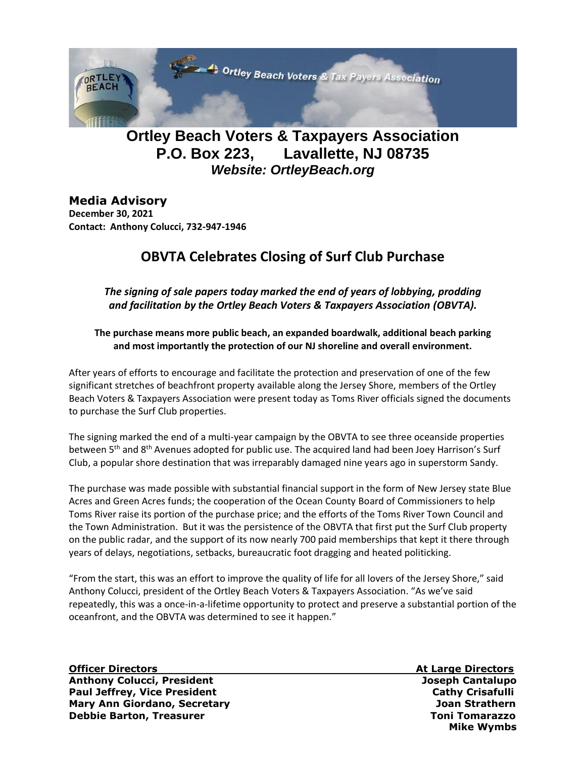

## **Ortley Beach Voters & Taxpayers Association P.O. Box 223, Lavallette, NJ 08735** *Website: OrtleyBeach.org*

### **Media Advisory**

**December 30, 2021 Contact: Anthony Colucci, 732-947-1946**

## **OBVTA Celebrates Closing of Surf Club Purchase**

*The signing of sale papers today marked the end of years of lobbying, prodding and facilitation by the Ortley Beach Voters & Taxpayers Association (OBVTA).* 

#### **The purchase means more public beach, an expanded boardwalk, additional beach parking and most importantly the protection of our NJ shoreline and overall environment.**

After years of efforts to encourage and facilitate the protection and preservation of one of the few significant stretches of beachfront property available along the Jersey Shore, members of the Ortley Beach Voters & Taxpayers Association were present today as Toms River officials signed the documents to purchase the Surf Club properties.

The signing marked the end of a multi-year campaign by the OBVTA to see three oceanside properties between 5<sup>th</sup> and 8<sup>th</sup> Avenues adopted for public use. The acquired land had been Joey Harrison's Surf Club, a popular shore destination that was irreparably damaged nine years ago in superstorm Sandy.

The purchase was made possible with substantial financial support in the form of New Jersey state Blue Acres and Green Acres funds; the cooperation of the Ocean County Board of Commissioners to help Toms River raise its portion of the purchase price; and the efforts of the Toms River Town Council and the Town Administration. But it was the persistence of the OBVTA that first put the Surf Club property on the public radar, and the support of its now nearly 700 paid memberships that kept it there through years of delays, negotiations, setbacks, bureaucratic foot dragging and heated politicking.

"From the start, this was an effort to improve the quality of life for all lovers of the Jersey Shore," said Anthony Colucci, president of the Ortley Beach Voters & Taxpayers Association. "As we've said repeatedly, this was a once-in-a-lifetime opportunity to protect and preserve a substantial portion of the oceanfront, and the OBVTA was determined to see it happen."

**Officer Directors At Large Directors Anthony Colucci, President Joseph Cantalupo Paul Jeffrey, Vice President Cathy Crisafulli** Cathy Crisafulli **Mary Ann Giordano, Secretary Joan Strathern Debbie Barton, Treasurer Toni Tomarazzo Institutional Institution of the Tomarazzo Institution of the Tomarazzo** 

 **Mike Wymbs**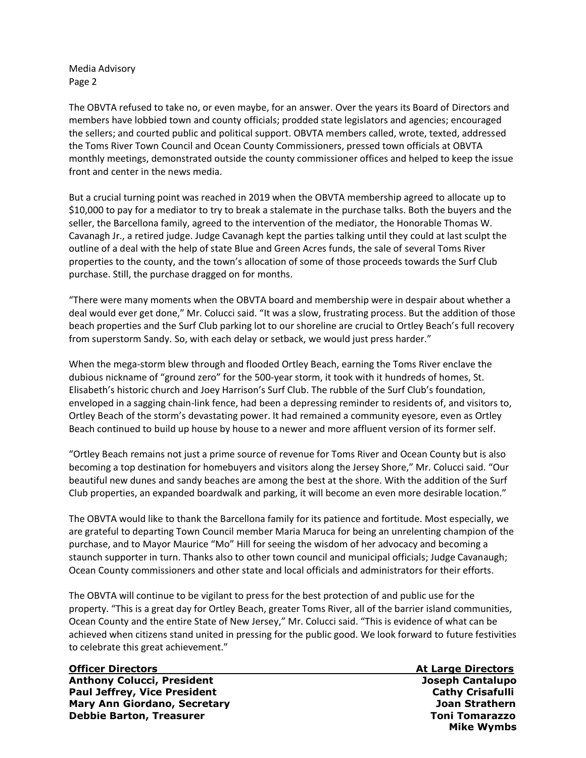Media Advisory Page 2

The OBVTA refused to take no, or even maybe, for an answer. Over the years its Board of Directors and members have lobbied town and county officials; prodded state legislators and agencies; encouraged the sellers; and courted public and political support. OBVTA members called, wrote, texted, addressed the Toms River Town Council and Ocean County Commissioners, pressed town officials at OBVTA monthly meetings, demonstrated outside the county commissioner offices and helped to keep the issue front and center in the news media.

But a crucial turning point was reached in 2019 when the OBVTA membership agreed to allocate up to \$10,000 to pay for a mediator to try to break a stalemate in the purchase talks. Both the buyers and the seller, the Barcellona family, agreed to the intervention of the mediator, the Honorable Thomas W. Cavanagh Jr., a retired judge. Judge Cavanagh kept the parties talking until they could at last sculpt the outline of a deal with the help of state Blue and Green Acres funds, the sale of several Toms River properties to the county, and the town's allocation of some of those proceeds towards the Surf Club purchase. Still, the purchase dragged on for months.

"There were many moments when the OBVTA board and membership were in despair about whether a deal would ever get done," Mr. Colucci said. "It was a slow, frustrating process. But the addition of those beach properties and the Surf Club parking lot to our shoreline are crucial to Ortley Beach's full recovery from superstorm Sandy. So, with each delay or setback, we would just press harder."

When the mega-storm blew through and flooded Ortley Beach, earning the Toms River enclave the dubious nickname of "ground zero" for the 500-year storm, it took with it hundreds of homes, St. Elisabeth's historic church and Joey Harrison's Surf Club. The rubble of the Surf Club's foundation, enveloped in a sagging chain-link fence, had been a depressing reminder to residents of, and visitors to, Ortley Beach of the storm's devastating power. It had remained a community eyesore, even as Ortley Beach continued to build up house by house to a newer and more affluent version of its former self.

"Ortley Beach remains not just a prime source of revenue for Toms River and Ocean County but is also becoming a top destination for homebuyers and visitors along the Jersey Shore," Mr. Colucci said. "Our beautiful new dunes and sandy beaches are among the best at the shore. With the addition of the Surf Club properties, an expanded boardwalk and parking, it will become an even more desirable location."

The OBVTA would like to thank the Barcellona family for its patience and fortitude. Most especially, we are grateful to departing Town Council member Maria Maruca for being an unrelenting champion of the purchase, and to Mayor Maurice "Mo" Hill for seeing the wisdom of her advocacy and becoming a staunch supporter in turn. Thanks also to other town council and municipal officials; Judge Cavanaugh; Ocean County commissioners and other state and local officials and administrators for their efforts.

The OBVTA will continue to be vigilant to press for the best protection of and public use for the property. "This is a great day for Ortley Beach, greater Toms River, all of the barrier island communities, Ocean County and the entire State of New Jersey," Mr. Colucci said. "This is evidence of what can be achieved when citizens stand united in pressing for the public good. We look forward to future festivities to celebrate this great achievement."

# **Officer Directors At Large Directors**

**Anthony Colucci, President Joseph Cantalupo Paul Jeffrey, Vice President Cathy Crisafulli** Cathy Crisafulli **Mary Ann Giordano, Secretary Joan Strathern Debbie Barton, Treasurer Toni Tomarazzo Institutional Institution of the Tomarazzo Institution of the Tomarazzo** 

 **Mike Wymbs**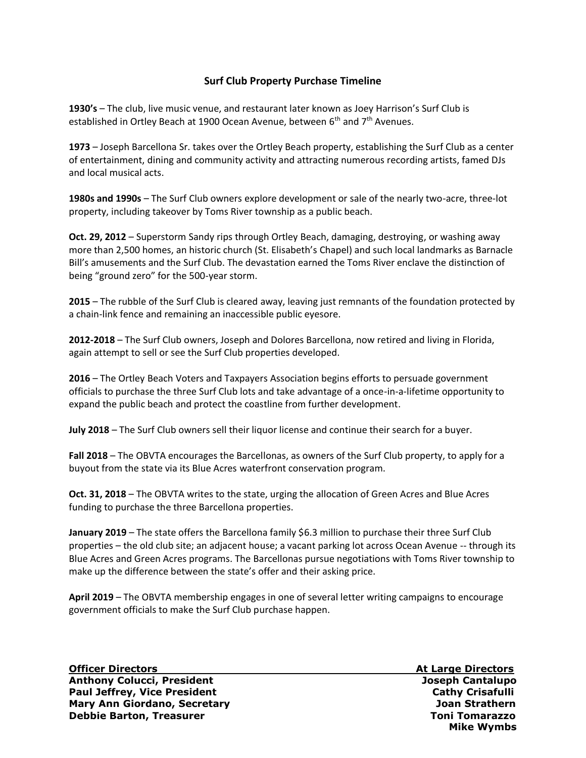#### **Surf Club Property Purchase Timeline**

**1930's** – The club, live music venue, and restaurant later known as Joey Harrison's Surf Club is established in Ortley Beach at 1900 Ocean Avenue, between  $6<sup>th</sup>$  and  $7<sup>th</sup>$  Avenues.

**1973** – Joseph Barcellona Sr. takes over the Ortley Beach property, establishing the Surf Club as a center of entertainment, dining and community activity and attracting numerous recording artists, famed DJs and local musical acts.

**1980s and 1990s** – The Surf Club owners explore development or sale of the nearly two-acre, three-lot property, including takeover by Toms River township as a public beach.

**Oct. 29, 2012** – Superstorm Sandy rips through Ortley Beach, damaging, destroying, or washing away more than 2,500 homes, an historic church (St. Elisabeth's Chapel) and such local landmarks as Barnacle Bill's amusements and the Surf Club. The devastation earned the Toms River enclave the distinction of being "ground zero" for the 500-year storm.

**2015** – The rubble of the Surf Club is cleared away, leaving just remnants of the foundation protected by a chain-link fence and remaining an inaccessible public eyesore.

**2012-2018** – The Surf Club owners, Joseph and Dolores Barcellona, now retired and living in Florida, again attempt to sell or see the Surf Club properties developed.

**2016** – The Ortley Beach Voters and Taxpayers Association begins efforts to persuade government officials to purchase the three Surf Club lots and take advantage of a once-in-a-lifetime opportunity to expand the public beach and protect the coastline from further development.

**July 2018** – The Surf Club owners sell their liquor license and continue their search for a buyer.

**Fall 2018** – The OBVTA encourages the Barcellonas, as owners of the Surf Club property, to apply for a buyout from the state via its Blue Acres waterfront conservation program.

**Oct. 31, 2018** – The OBVTA writes to the state, urging the allocation of Green Acres and Blue Acres funding to purchase the three Barcellona properties.

**January 2019** – The state offers the Barcellona family \$6.3 million to purchase their three Surf Club properties – the old club site; an adjacent house; a vacant parking lot across Ocean Avenue -- through its Blue Acres and Green Acres programs. The Barcellonas pursue negotiations with Toms River township to make up the difference between the state's offer and their asking price.

**April 2019** – The OBVTA membership engages in one of several letter writing campaigns to encourage government officials to make the Surf Club purchase happen.